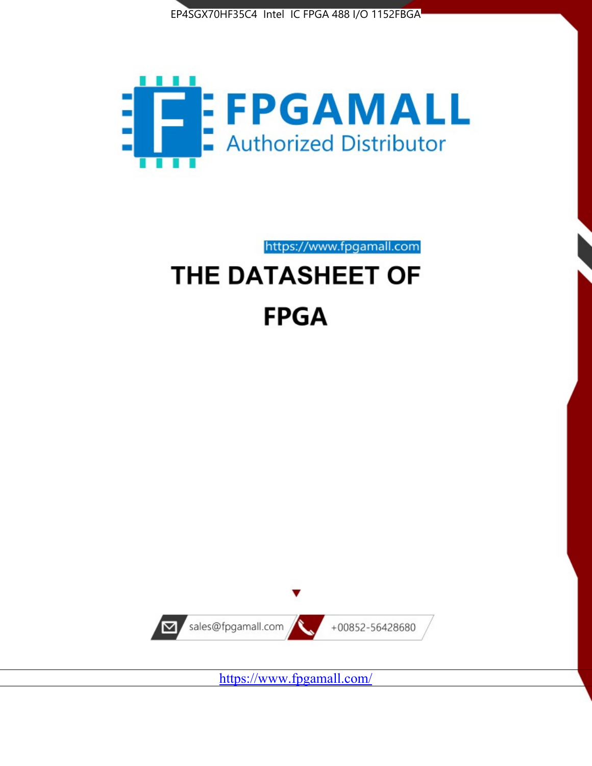



https://www.fpgamall.com

# THE DATASHEET OF **FPGA**



<https://www.fpgamall.com/>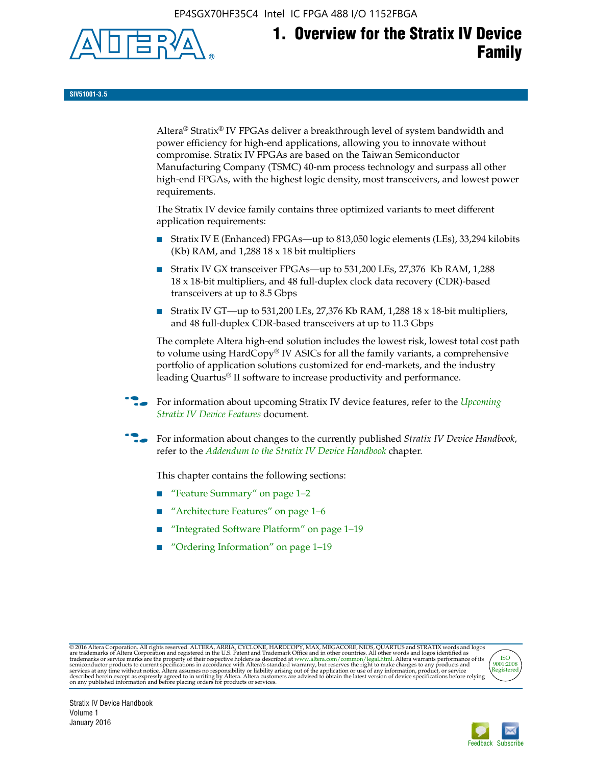EP4SGX70HF35C4 Intel IC FPGA 488 I/O 1152FBGA



# **1. Overview for the Stratix IV Device Family**

**SIV51001-3.5**

Altera® Stratix® IV FPGAs deliver a breakthrough level of system bandwidth and power efficiency for high-end applications, allowing you to innovate without compromise. Stratix IV FPGAs are based on the Taiwan Semiconductor Manufacturing Company (TSMC) 40-nm process technology and surpass all other high-end FPGAs, with the highest logic density, most transceivers, and lowest power requirements.

The Stratix IV device family contains three optimized variants to meet different application requirements:

- Stratix IV E (Enhanced) FPGAs—up to 813,050 logic elements (LEs), 33,294 kilobits (Kb) RAM, and 1,288 18 x 18 bit multipliers
- Stratix IV GX transceiver FPGAs—up to 531,200 LEs, 27,376 Kb RAM, 1,288 18 x 18-bit multipliers, and 48 full-duplex clock data recovery (CDR)-based transceivers at up to 8.5 Gbps
- Stratix IV GT—up to 531,200 LEs, 27,376 Kb RAM, 1,288 18 x 18-bit multipliers, and 48 full-duplex CDR-based transceivers at up to 11.3 Gbps

The complete Altera high-end solution includes the lowest risk, lowest total cost path to volume using HardCopy® IV ASICs for all the family variants, a comprehensive portfolio of application solutions customized for end-markets, and the industry leading Quartus® II software to increase productivity and performance.

f For information about upcoming Stratix IV device features, refer to the *[Upcoming](http://www.altera.com/literature/hb/stratix-iv/uf01001.pdf?GSA_pos=2&WT.oss_r=1&WT.oss=upcoming)  [Stratix IV Device Features](http://www.altera.com/literature/hb/stratix-iv/uf01001.pdf?GSA_pos=2&WT.oss_r=1&WT.oss=upcoming)* document.

f For information about changes to the currently published *Stratix IV Device Handbook*, refer to the *[Addendum to the Stratix IV Device Handbook](http://www.altera.com/literature/hb/stratix-iv/stx4_siv54002.pdf)* chapter.

This chapter contains the following sections:

- "Feature Summary" on page 1–2
- "Architecture Features" on page 1–6
- "Integrated Software Platform" on page 1–19
- "Ordering Information" on page 1–19

@2016 Altera Corporation. All rights reserved. ALTERA, ARRIA, CYCLONE, HARDCOPY, MAX, MEGACORE, NIOS, QUARTUS and STRATIX words and logos are trademarks of Altera Corporation and registered in the U.S. Patent and Trademark



Stratix IV Device Handbook Volume 1 January 2016

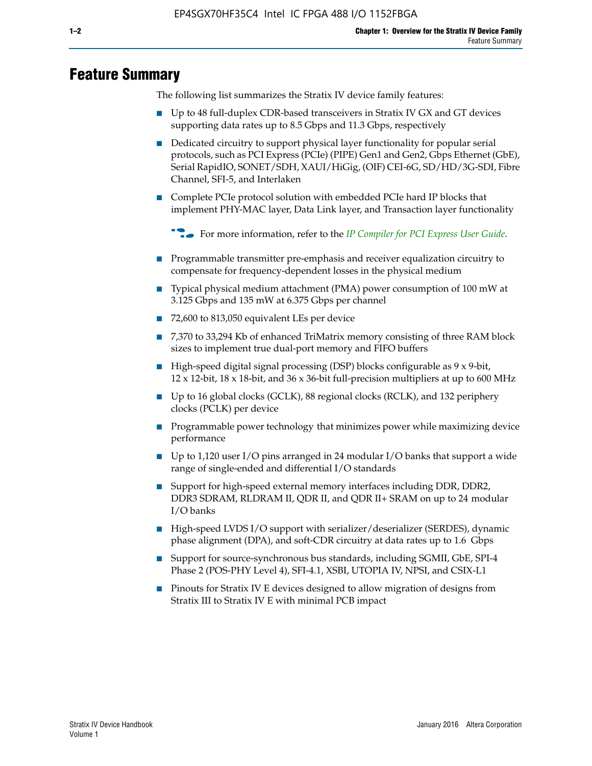# **Feature Summary**

The following list summarizes the Stratix IV device family features:

- Up to 48 full-duplex CDR-based transceivers in Stratix IV GX and GT devices supporting data rates up to 8.5 Gbps and 11.3 Gbps, respectively
- Dedicated circuitry to support physical layer functionality for popular serial protocols, such as PCI Express (PCIe) (PIPE) Gen1 and Gen2, Gbps Ethernet (GbE), Serial RapidIO, SONET/SDH, XAUI/HiGig, (OIF) CEI-6G, SD/HD/3G-SDI, Fibre Channel, SFI-5, and Interlaken
- Complete PCIe protocol solution with embedded PCIe hard IP blocks that implement PHY-MAC layer, Data Link layer, and Transaction layer functionality

**For more information, refer to the** *[IP Compiler for PCI Express User Guide](http://www.altera.com/literature/ug/ug_pci_express.pdf)***.** 

- Programmable transmitter pre-emphasis and receiver equalization circuitry to compensate for frequency-dependent losses in the physical medium
- Typical physical medium attachment (PMA) power consumption of 100 mW at 3.125 Gbps and 135 mW at 6.375 Gbps per channel
- 72,600 to 813,050 equivalent LEs per device
- 7,370 to 33,294 Kb of enhanced TriMatrix memory consisting of three RAM block sizes to implement true dual-port memory and FIFO buffers
- High-speed digital signal processing (DSP) blocks configurable as 9 x 9-bit,  $12 \times 12$ -bit,  $18 \times 18$ -bit, and  $36 \times 36$ -bit full-precision multipliers at up to 600 MHz
- Up to 16 global clocks (GCLK), 88 regional clocks (RCLK), and 132 periphery clocks (PCLK) per device
- Programmable power technology that minimizes power while maximizing device performance
- Up to 1,120 user I/O pins arranged in 24 modular I/O banks that support a wide range of single-ended and differential I/O standards
- Support for high-speed external memory interfaces including DDR, DDR2, DDR3 SDRAM, RLDRAM II, QDR II, and QDR II+ SRAM on up to 24 modular I/O banks
- High-speed LVDS I/O support with serializer/deserializer (SERDES), dynamic phase alignment (DPA), and soft-CDR circuitry at data rates up to 1.6 Gbps
- Support for source-synchronous bus standards, including SGMII, GbE, SPI-4 Phase 2 (POS-PHY Level 4), SFI-4.1, XSBI, UTOPIA IV, NPSI, and CSIX-L1
- Pinouts for Stratix IV E devices designed to allow migration of designs from Stratix III to Stratix IV E with minimal PCB impact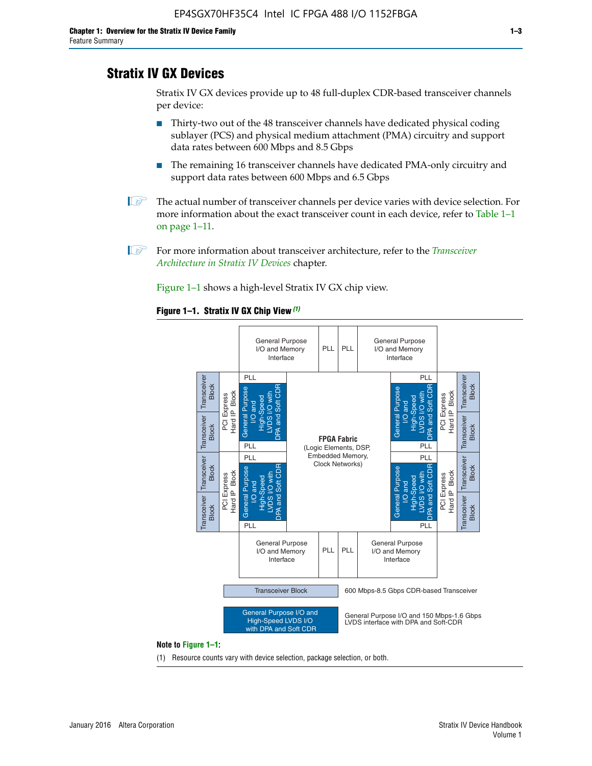# **Stratix IV GX Devices**

Stratix IV GX devices provide up to 48 full-duplex CDR-based transceiver channels per device:

- Thirty-two out of the 48 transceiver channels have dedicated physical coding sublayer (PCS) and physical medium attachment (PMA) circuitry and support data rates between 600 Mbps and 8.5 Gbps
- The remaining 16 transceiver channels have dedicated PMA-only circuitry and support data rates between 600 Mbps and 6.5 Gbps
- **1 The actual number of transceiver channels per device varies with device selection. For** more information about the exact transceiver count in each device, refer to Table 1–1 on page 1–11.
- 1 For more information about transceiver architecture, refer to the *[Transceiver](http://www.altera.com/literature/hb/stratix-iv/stx4_siv52001.pdf)  [Architecture in Stratix IV Devices](http://www.altera.com/literature/hb/stratix-iv/stx4_siv52001.pdf)* chapter.

Figure 1–1 shows a high-level Stratix IV GX chip view.

#### **Figure 1–1. Stratix IV GX Chip View** *(1)*



#### **Note to Figure 1–1:**

(1) Resource counts vary with device selection, package selection, or both.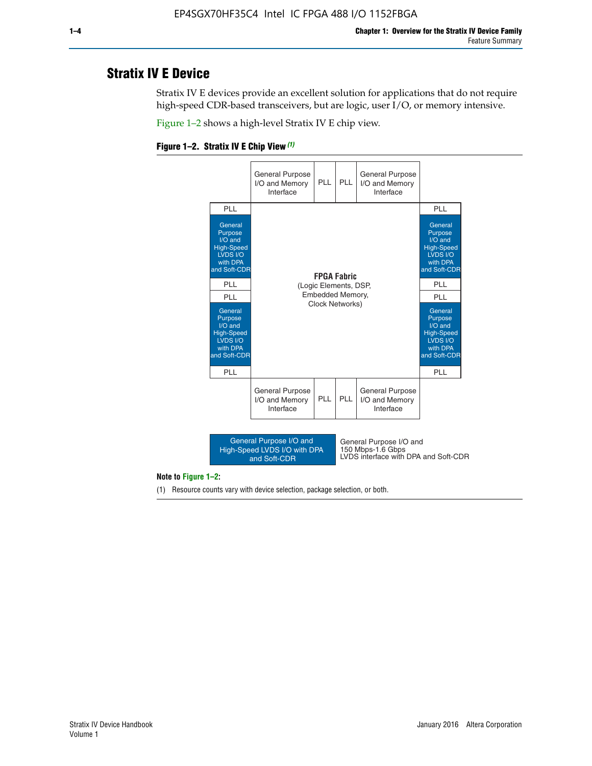# **Stratix IV E Device**

Stratix IV E devices provide an excellent solution for applications that do not require high-speed CDR-based transceivers, but are logic, user I/O, or memory intensive.

Figure 1–2 shows a high-level Stratix IV E chip view.





#### **Note to Figure 1–2:**

(1) Resource counts vary with device selection, package selection, or both.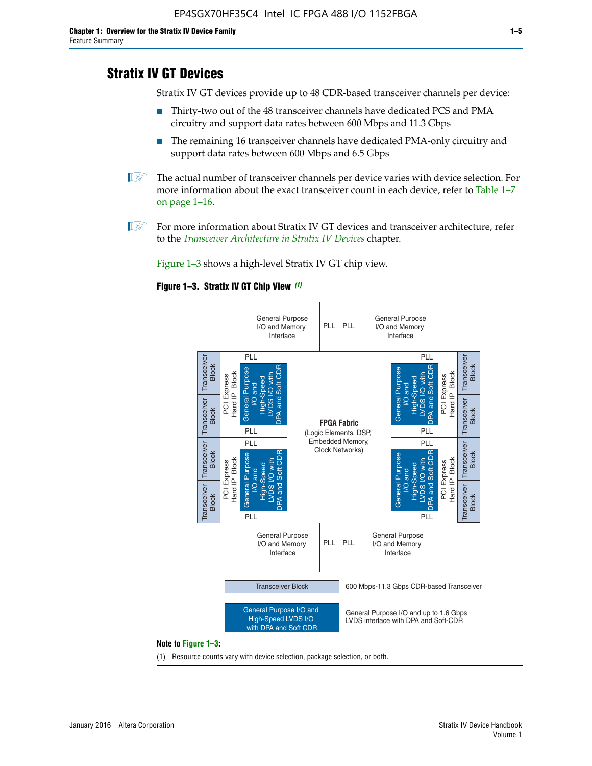# **Stratix IV GT Devices**

Stratix IV GT devices provide up to 48 CDR-based transceiver channels per device:

- Thirty-two out of the 48 transceiver channels have dedicated PCS and PMA circuitry and support data rates between 600 Mbps and 11.3 Gbps
- The remaining 16 transceiver channels have dedicated PMA-only circuitry and support data rates between 600 Mbps and 6.5 Gbps
- **1** The actual number of transceiver channels per device varies with device selection. For more information about the exact transceiver count in each device, refer to Table 1–7 on page 1–16.
- $\mathbb{I}$  For more information about Stratix IV GT devices and transceiver architecture, refer to the *[Transceiver Architecture in Stratix IV Devices](http://www.altera.com/literature/hb/stratix-iv/stx4_siv52001.pdf)* chapter.

Figure 1–3 shows a high-level Stratix IV GT chip view.

#### **Figure 1–3. Stratix IV GT Chip View** *(1)*



(1) Resource counts vary with device selection, package selection, or both.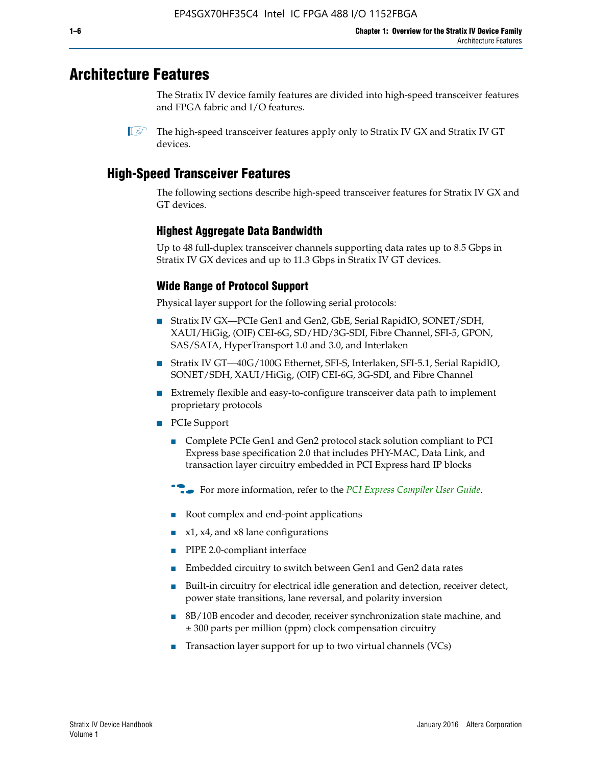# **Architecture Features**

The Stratix IV device family features are divided into high-speed transceiver features and FPGA fabric and I/O features.

 $\mathbb{I}$  The high-speed transceiver features apply only to Stratix IV GX and Stratix IV GT devices.

# **High-Speed Transceiver Features**

The following sections describe high-speed transceiver features for Stratix IV GX and GT devices.

## **Highest Aggregate Data Bandwidth**

Up to 48 full-duplex transceiver channels supporting data rates up to 8.5 Gbps in Stratix IV GX devices and up to 11.3 Gbps in Stratix IV GT devices.

## **Wide Range of Protocol Support**

Physical layer support for the following serial protocols:

- Stratix IV GX—PCIe Gen1 and Gen2, GbE, Serial RapidIO, SONET/SDH, XAUI/HiGig, (OIF) CEI-6G, SD/HD/3G-SDI, Fibre Channel, SFI-5, GPON, SAS/SATA, HyperTransport 1.0 and 3.0, and Interlaken
- Stratix IV GT—40G/100G Ethernet, SFI-S, Interlaken, SFI-5.1, Serial RapidIO, SONET/SDH, XAUI/HiGig, (OIF) CEI-6G, 3G-SDI, and Fibre Channel
- Extremely flexible and easy-to-configure transceiver data path to implement proprietary protocols
- PCIe Support
	- Complete PCIe Gen1 and Gen2 protocol stack solution compliant to PCI Express base specification 2.0 that includes PHY-MAC, Data Link, and transaction layer circuitry embedded in PCI Express hard IP blocks
	- **For more information, refer to the [PCI Express Compiler User Guide](http://www.altera.com/literature/ug/ug_pci_express.pdf).**
	- Root complex and end-point applications
	- $x1, x4,$  and  $x8$  lane configurations
	- PIPE 2.0-compliant interface
	- Embedded circuitry to switch between Gen1 and Gen2 data rates
	- Built-in circuitry for electrical idle generation and detection, receiver detect, power state transitions, lane reversal, and polarity inversion
	- 8B/10B encoder and decoder, receiver synchronization state machine, and ± 300 parts per million (ppm) clock compensation circuitry
	- Transaction layer support for up to two virtual channels (VCs)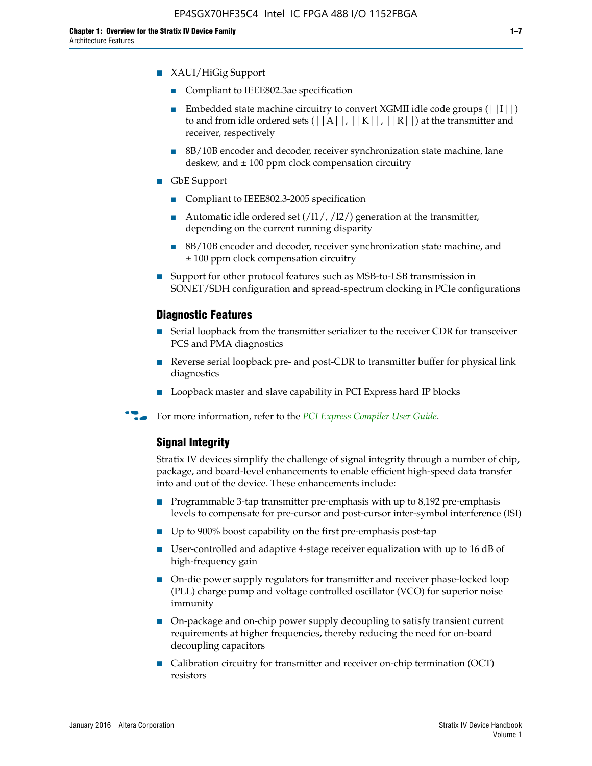- Compliant to IEEE802.3ae specification
- **■** Embedded state machine circuitry to convert XGMII idle code groups  $(|11|)$ to and from idle ordered sets  $(|A|, |K|, |R|)$  at the transmitter and receiver, respectively
- 8B/10B encoder and decoder, receiver synchronization state machine, lane deskew, and  $\pm 100$  ppm clock compensation circuitry
- GbE Support
	- Compliant to IEEE802.3-2005 specification
	- Automatic idle ordered set  $(111/112/1)$  generation at the transmitter, depending on the current running disparity
	- 8B/10B encoder and decoder, receiver synchronization state machine, and ± 100 ppm clock compensation circuitry
- Support for other protocol features such as MSB-to-LSB transmission in SONET/SDH configuration and spread-spectrum clocking in PCIe configurations

#### **Diagnostic Features**

- Serial loopback from the transmitter serializer to the receiver CDR for transceiver PCS and PMA diagnostics
- Reverse serial loopback pre- and post-CDR to transmitter buffer for physical link diagnostics
- Loopback master and slave capability in PCI Express hard IP blocks
- **For more information, refer to the** *[PCI Express Compiler User Guide](http://www.altera.com/literature/ug/ug_pci_express.pdf)***.**

### **Signal Integrity**

Stratix IV devices simplify the challenge of signal integrity through a number of chip, package, and board-level enhancements to enable efficient high-speed data transfer into and out of the device. These enhancements include:

- Programmable 3-tap transmitter pre-emphasis with up to 8,192 pre-emphasis levels to compensate for pre-cursor and post-cursor inter-symbol interference (ISI)
- Up to 900% boost capability on the first pre-emphasis post-tap
- User-controlled and adaptive 4-stage receiver equalization with up to 16 dB of high-frequency gain
- On-die power supply regulators for transmitter and receiver phase-locked loop (PLL) charge pump and voltage controlled oscillator (VCO) for superior noise immunity
- On-package and on-chip power supply decoupling to satisfy transient current requirements at higher frequencies, thereby reducing the need for on-board decoupling capacitors
- Calibration circuitry for transmitter and receiver on-chip termination (OCT) resistors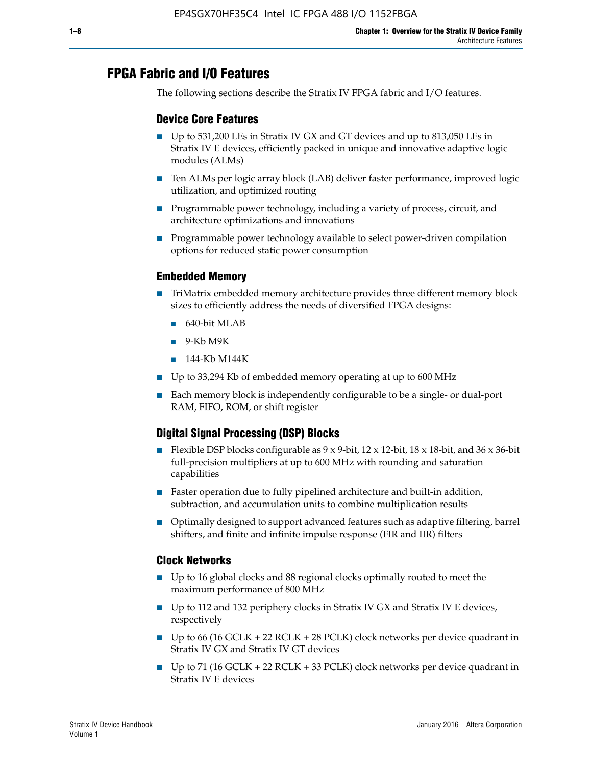# **FPGA Fabric and I/O Features**

The following sections describe the Stratix IV FPGA fabric and I/O features.

## **Device Core Features**

- Up to 531,200 LEs in Stratix IV GX and GT devices and up to 813,050 LEs in Stratix IV E devices, efficiently packed in unique and innovative adaptive logic modules (ALMs)
- Ten ALMs per logic array block (LAB) deliver faster performance, improved logic utilization, and optimized routing
- Programmable power technology, including a variety of process, circuit, and architecture optimizations and innovations
- Programmable power technology available to select power-driven compilation options for reduced static power consumption

### **Embedded Memory**

- TriMatrix embedded memory architecture provides three different memory block sizes to efficiently address the needs of diversified FPGA designs:
	- 640-bit MLAB
	- 9-Kb M9K
	- 144-Kb M144K
- Up to 33,294 Kb of embedded memory operating at up to 600 MHz
- Each memory block is independently configurable to be a single- or dual-port RAM, FIFO, ROM, or shift register

## **Digital Signal Processing (DSP) Blocks**

- Flexible DSP blocks configurable as  $9 \times 9$ -bit,  $12 \times 12$ -bit,  $18 \times 18$ -bit, and  $36 \times 36$ -bit full-precision multipliers at up to 600 MHz with rounding and saturation capabilities
- Faster operation due to fully pipelined architecture and built-in addition, subtraction, and accumulation units to combine multiplication results
- Optimally designed to support advanced features such as adaptive filtering, barrel shifters, and finite and infinite impulse response (FIR and IIR) filters

### **Clock Networks**

- Up to 16 global clocks and 88 regional clocks optimally routed to meet the maximum performance of 800 MHz
- Up to 112 and 132 periphery clocks in Stratix IV GX and Stratix IV E devices, respectively
- Up to 66 (16 GCLK + 22 RCLK + 28 PCLK) clock networks per device quadrant in Stratix IV GX and Stratix IV GT devices
- Up to 71 (16 GCLK + 22 RCLK + 33 PCLK) clock networks per device quadrant in Stratix IV E devices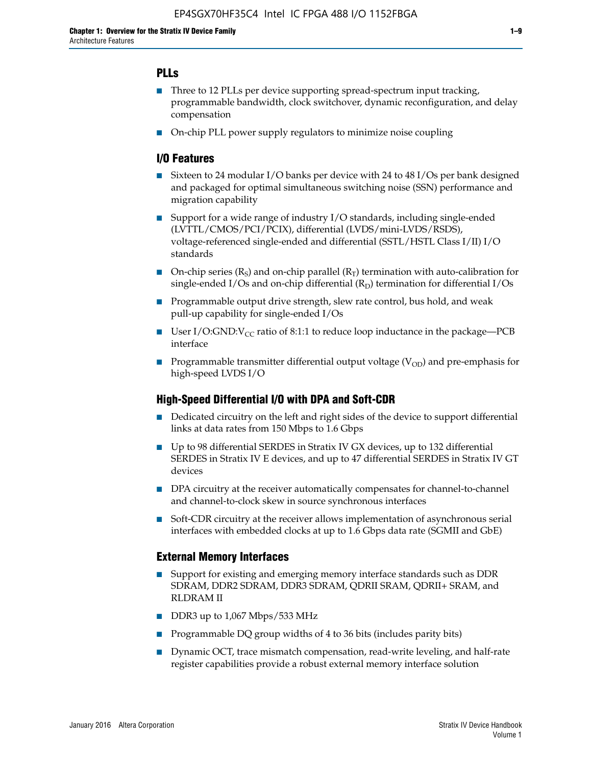## **PLLs**

- Three to 12 PLLs per device supporting spread-spectrum input tracking, programmable bandwidth, clock switchover, dynamic reconfiguration, and delay compensation
- On-chip PLL power supply regulators to minimize noise coupling

### **I/O Features**

- Sixteen to 24 modular I/O banks per device with 24 to 48 I/Os per bank designed and packaged for optimal simultaneous switching noise (SSN) performance and migration capability
- Support for a wide range of industry I/O standards, including single-ended (LVTTL/CMOS/PCI/PCIX), differential (LVDS/mini-LVDS/RSDS), voltage-referenced single-ended and differential (SSTL/HSTL Class I/II) I/O standards
- **O**n-chip series  $(R_S)$  and on-chip parallel  $(R_T)$  termination with auto-calibration for single-ended I/Os and on-chip differential  $(R_D)$  termination for differential I/Os
- Programmable output drive strength, slew rate control, bus hold, and weak pull-up capability for single-ended I/Os
- User I/O:GND: $V_{CC}$  ratio of 8:1:1 to reduce loop inductance in the package—PCB interface
- **■** Programmable transmitter differential output voltage ( $V_{OD}$ ) and pre-emphasis for high-speed LVDS I/O

#### **High-Speed Differential I/O with DPA and Soft-CDR**

- Dedicated circuitry on the left and right sides of the device to support differential links at data rates from 150 Mbps to 1.6 Gbps
- Up to 98 differential SERDES in Stratix IV GX devices, up to 132 differential SERDES in Stratix IV E devices, and up to 47 differential SERDES in Stratix IV GT devices
- DPA circuitry at the receiver automatically compensates for channel-to-channel and channel-to-clock skew in source synchronous interfaces
- Soft-CDR circuitry at the receiver allows implementation of asynchronous serial interfaces with embedded clocks at up to 1.6 Gbps data rate (SGMII and GbE)

#### **External Memory Interfaces**

- Support for existing and emerging memory interface standards such as DDR SDRAM, DDR2 SDRAM, DDR3 SDRAM, QDRII SRAM, QDRII+ SRAM, and RLDRAM II
- DDR3 up to 1,067 Mbps/533 MHz
- Programmable DQ group widths of 4 to 36 bits (includes parity bits)
- Dynamic OCT, trace mismatch compensation, read-write leveling, and half-rate register capabilities provide a robust external memory interface solution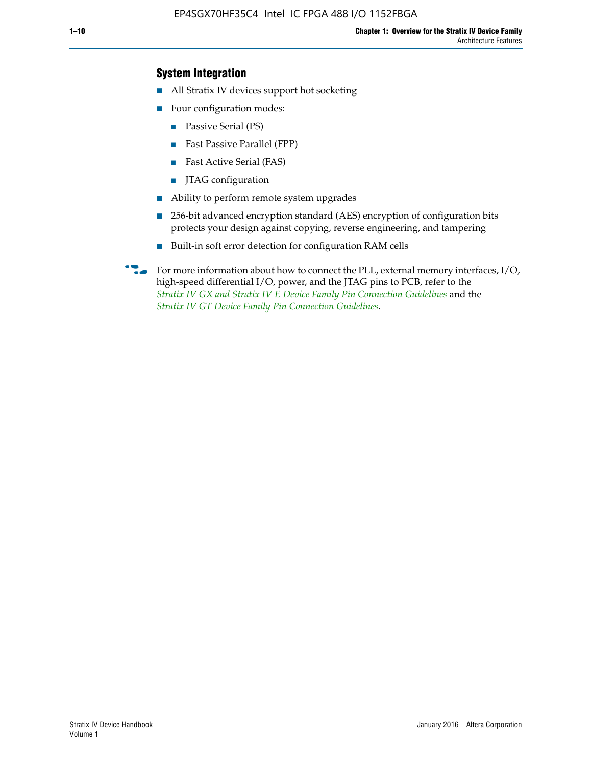## **System Integration**

- All Stratix IV devices support hot socketing
- Four configuration modes:
	- Passive Serial (PS)
	- Fast Passive Parallel (FPP)
	- Fast Active Serial (FAS)
	- JTAG configuration
- Ability to perform remote system upgrades
- 256-bit advanced encryption standard (AES) encryption of configuration bits protects your design against copying, reverse engineering, and tampering
- Built-in soft error detection for configuration RAM cells
- For more information about how to connect the PLL, external memory interfaces,  $I/O$ , high-speed differential I/O, power, and the JTAG pins to PCB, refer to the *[Stratix IV GX and Stratix IV E Device Family Pin Connection Guidelines](http://www.altera.com/literature/dp/stratix4/PCG-01005.pdf)* and the *[Stratix IV GT Device Family Pin Connection Guidelines](http://www.altera.com/literature/dp/stratix4/PCG-01006.pdf)*.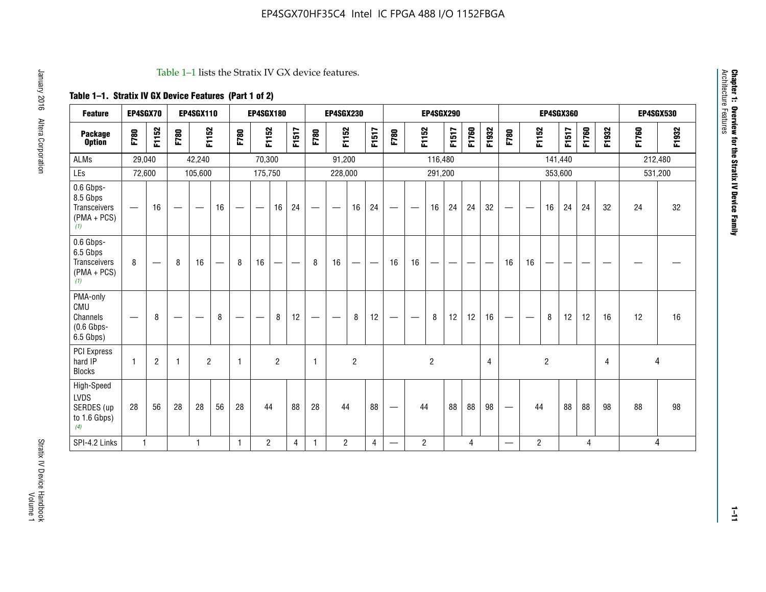#### Table 1–1 lists the Stratix IV GX device features.

## **Table 1–1. Stratix IV GX Device Features (Part 1 of 2)**

| <b>Feature</b>                                                 | EP4SGX70                 |                          |                                   | <b>EP4SGX110</b>  |                                 |                   | <b>EP4SGX180</b>                 |                |       |                          | <b>EP4SGX230</b>         |                |                |                                  |                 | <b>EP4SGX290</b> |       |       |       |                                   |                               |                | <b>EP4SGX360</b> |       |       |         | <b>EP4SGX530</b> |
|----------------------------------------------------------------|--------------------------|--------------------------|-----------------------------------|-------------------|---------------------------------|-------------------|----------------------------------|----------------|-------|--------------------------|--------------------------|----------------|----------------|----------------------------------|-----------------|------------------|-------|-------|-------|-----------------------------------|-------------------------------|----------------|------------------|-------|-------|---------|------------------|
| <b>Package</b><br><b>Option</b>                                | F780                     | F1152                    | F780                              | F1152             |                                 | F780              | F1152                            |                | F1517 | F780                     | F1152                    |                | F1517          | F780                             | F1152           |                  | F1517 | F1760 | F1932 | F780                              | F1152                         |                | F1517            | F1760 | F1932 | F1760   | F1932            |
| <b>ALMs</b>                                                    | 29,040                   |                          |                                   | 42,240            |                                 |                   | 70,300                           |                |       |                          | 91,200                   |                |                |                                  |                 | 116,480          |       |       |       |                                   |                               |                | 141,440          |       |       | 212,480 |                  |
| LEs                                                            | 72,600                   |                          |                                   | 105,600           |                                 |                   | 175,750                          |                |       |                          | 228,000                  |                |                |                                  |                 | 291,200          |       |       |       |                                   |                               |                | 353,600          |       |       | 531,200 |                  |
| 0.6 Gbps-<br>8.5 Gbps<br>Transceivers<br>$(PMA + PCs)$<br>(1)  | $\overline{\phantom{0}}$ | 16                       | $\overbrace{\phantom{123221111}}$ | $\hspace{0.05cm}$ | 16                              | $\hspace{0.05cm}$ | $\hspace{0.1mm}-\hspace{0.1mm}$  | 16             | 24    |                          | $\overline{\phantom{m}}$ | 16             | 24             | $\hspace{0.1mm}-\hspace{0.1mm}$  | $\qquad \qquad$ | 16               | 24    | 24    | 32    | $\hspace{0.1mm}-\hspace{0.1mm}$   | $\overbrace{\phantom{aaaaa}}$ | 16             | 24               | 24    | 32    | 24      | 32               |
| 0.6 Gbps-<br>6.5 Gbps<br>Transceivers<br>$(PMA + PCs)$<br>(1)  | 8                        | $\overline{\phantom{0}}$ | 8                                 | 16                | $\hspace{0.1mm}-\hspace{0.1mm}$ | 8                 | 16                               | —              | —     | 8                        | 16                       | —              |                | 16                               | 16              |                  |       |       | --    | 16                                | 16                            | —              |                  | --    |       |         |                  |
| PMA-only<br>CMU<br>Channels<br>$(0.6$ Gbps-<br>6.5 Gbps)       |                          | 8                        |                                   | __                | 8                               |                   | $\overbrace{\phantom{12322111}}$ | 8              | 12    | $\overline{\phantom{m}}$ |                          | 8              | 12             | $\hspace{0.1mm}-\hspace{0.1mm}$  |                 | 8                | 12    | 12    | 16    | $\hspace{0.05cm}$                 |                               | 8              | 12               | 12    | 16    | 12      | 16               |
| <b>PCI Express</b><br>hard IP<br><b>Blocks</b>                 | 1                        | $\overline{2}$           | $\overline{1}$                    | $\overline{2}$    |                                 | $\overline{1}$    |                                  | $\overline{2}$ |       | $\mathbf{1}$             |                          | $\overline{c}$ |                |                                  |                 | $\overline{2}$   |       |       | 4     |                                   |                               | $\overline{2}$ |                  |       | 4     | 4       |                  |
| High-Speed<br><b>LVDS</b><br>SERDES (up<br>to 1.6 Gbps)<br>(4) | 28                       | 56                       | 28                                | 28                | 56                              | 28                | 44                               |                | 88    | 28                       | 44                       |                | 88             | $\overbrace{\phantom{12322111}}$ | 44              |                  | 88    | 88    | 98    | $\overbrace{\phantom{12322111}}$  | 44                            |                | 88               | 88    | 98    | 88      | 98               |
| SPI-4.2 Links                                                  | $\mathbf{1}$             |                          |                                   | 1                 |                                 | 1                 | $\overline{c}$                   |                | 4     | 1                        | $\overline{2}$           |                | $\overline{4}$ | —                                | $\overline{c}$  |                  |       | 4     |       | $\overbrace{\phantom{123221111}}$ | $\overline{2}$                |                |                  | 4     |       |         | 4                |

Architecture Features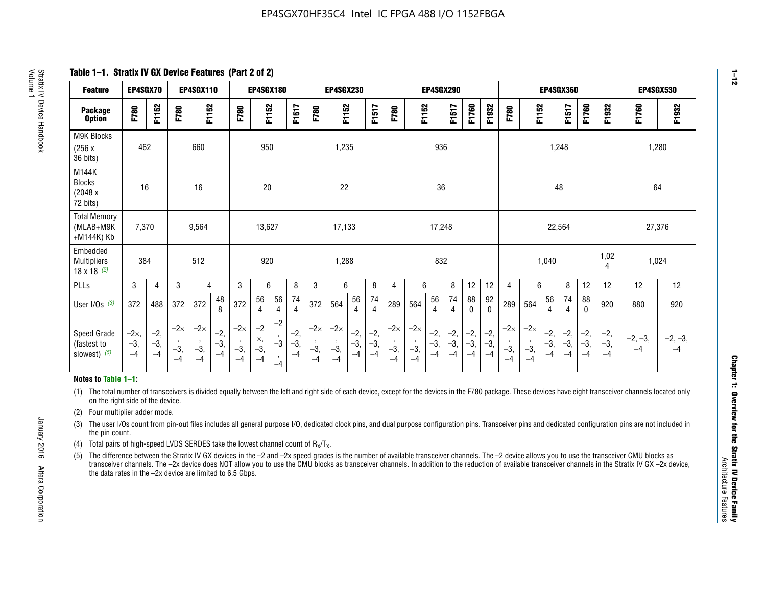**Table 1–1. Stratix IV GX Device Features (Part 2 of 2)**

| <b>Feature</b>                                       | EP4SGX70                |                        |                             | <b>EP4SGX110</b>            |                      |                             | <b>EP4SGX180</b>          |                      |                        |                             | <b>EP4SGX230</b>            |                      |                        |                             |                             | <b>EP4SGX290</b>       |                      |                        |                      |                             |                             |                        | <b>EP4SGX360</b>       |                        |                        | <b>EP4SGX530</b>  |                   |
|------------------------------------------------------|-------------------------|------------------------|-----------------------------|-----------------------------|----------------------|-----------------------------|---------------------------|----------------------|------------------------|-----------------------------|-----------------------------|----------------------|------------------------|-----------------------------|-----------------------------|------------------------|----------------------|------------------------|----------------------|-----------------------------|-----------------------------|------------------------|------------------------|------------------------|------------------------|-------------------|-------------------|
| <b>Package</b><br><b>Option</b>                      | F780                    | F1152                  | F780                        | F1152                       |                      | F780                        | F1152                     |                      | F1517                  | F780                        | F1152                       |                      | F1517                  | F780                        | F1152                       |                        | F1517                | F1760                  | F1932                | F780                        | F1152                       |                        | F1517                  | F1760                  | F1932                  | F1760             | F1932             |
| M9K Blocks<br>(256x)<br>36 bits)                     | 462                     |                        |                             | 660                         |                      |                             | 950                       |                      |                        |                             | 1,235                       |                      |                        |                             |                             | 936                    |                      |                        |                      |                             |                             | 1,248                  |                        |                        |                        | 1,280             |                   |
| M144K<br>Blocks<br>(2048 x<br>72 bits)               | 16                      |                        |                             | 16                          |                      |                             | 20                        |                      |                        |                             | 22                          |                      |                        |                             |                             | 36                     |                      |                        |                      |                             |                             | 48                     |                        |                        |                        | 64                |                   |
| <b>Total Memory</b><br>(MLAB+M9K<br>+M144K) Kb       | 7,370                   |                        |                             | 9,564                       |                      |                             | 13,627                    |                      |                        |                             | 17,133                      |                      |                        |                             |                             | 17,248                 |                      |                        |                      |                             |                             | 22,564                 |                        |                        |                        | 27,376            |                   |
| Embedded<br><b>Multipliers</b><br>$18 \times 18$ (2) | 384                     |                        |                             | 512                         |                      |                             | 920                       |                      |                        |                             | 1,288                       |                      |                        |                             |                             | 832                    |                      |                        |                      |                             |                             | 1,040                  |                        |                        | 1,02<br>4              | 1,024             |                   |
| PLLs                                                 | 3                       | 4                      | 3                           | 4                           |                      | 3                           | 6                         |                      | 8                      | 3                           | 6                           |                      | 8                      | $\overline{4}$              | 6                           |                        | 8                    | 12                     | 12                   | 4                           | 6                           |                        | 8                      | 12                     | 12                     | 12                | 12                |
| User I/Os $(3)$                                      | 372                     | 488                    | 372                         | 372                         | 48<br>8              | 372                         | 56<br>4                   | 56<br>4              | 74<br>4                | 372                         | 564                         | 56<br>4              | 74<br>$\overline{4}$   | 289                         | 564                         | 56<br>4                | 74<br>4              | 88<br>0                | 92<br>$\mathbf{0}$   | 289                         | 564                         | 56<br>4                | 74<br>4                | 88<br>0                | 920                    | 880               | 920               |
| Speed Grade<br>(fastest to<br>slowest) (5)           | $-2x,$<br>$-3,$<br>$-4$ | $-2,$<br>$-3,$<br>$-4$ | $-2\times$<br>$-3,$<br>$-4$ | $-2\times$<br>$-3,$<br>$-4$ | $-2,$<br>-3,<br>$-4$ | $-2\times$<br>$-3,$<br>$-4$ | $-2$<br>×,<br>$-3,$<br>-4 | $-2$<br>$-3$<br>$-4$ | $-2,$<br>$-3,$<br>$-4$ | $-2\times$<br>$-3,$<br>$-4$ | $-2\times$<br>$-3,$<br>$-4$ | $-2,$<br>-3,<br>$-4$ | $-2,$<br>$-3,$<br>$-4$ | $-2\times$<br>$-3,$<br>$-4$ | $-2\times$<br>$-3,$<br>$-4$ | $-2,$<br>$-3,$<br>$-4$ | $-2,$<br>-3,<br>$-4$ | $-2,$<br>$-3,$<br>$-4$ | $-2,$<br>-3,<br>$-4$ | $-2\times$<br>$-3,$<br>$-4$ | $-2\times$<br>$-3,$<br>$-4$ | $-2,$<br>$-3,$<br>$-4$ | $-2,$<br>$-3,$<br>$-4$ | $-2,$<br>$-3,$<br>$-4$ | $-2,$<br>$-3,$<br>$-4$ | $-2, -3,$<br>$-4$ | $-2, -3,$<br>$-4$ |

#### **Notes to Table 1–1:**

(1) The total number of transceivers is divided equally between the left and right side of each device, except for the devices in the F780 package. These devices have eight transceiver channels located only on the right side of the device.

- (2) Four multiplier adder mode.
- (3) The user I/Os count from pin-out files includes all general purpose I/O, dedicated clock pins, and dual purpose configuration pins. Transceiver pins and dedicated configuration pins are not included in the pin count.
- (4) Total pairs of high-speed LVDS SERDES take the lowest channel count of  $R_X/T_X$ .
- (5) The difference between the Stratix IV GX devices in the –2 and –2x speed grades is the number of available transceiver channels. The –2 device allows you to use the transceiver CMU blocks as transceiver channels. The –2x device does NOT allow you to use the CMU blocks as transceiver channels. In addition to the reduction of available transceiver channels in the Stratix IV GX –2x device, the data rates in the –2x device are limited to 6.5 Gbps.

January 2016 Altera Corporation

Altera Corporation

January 2016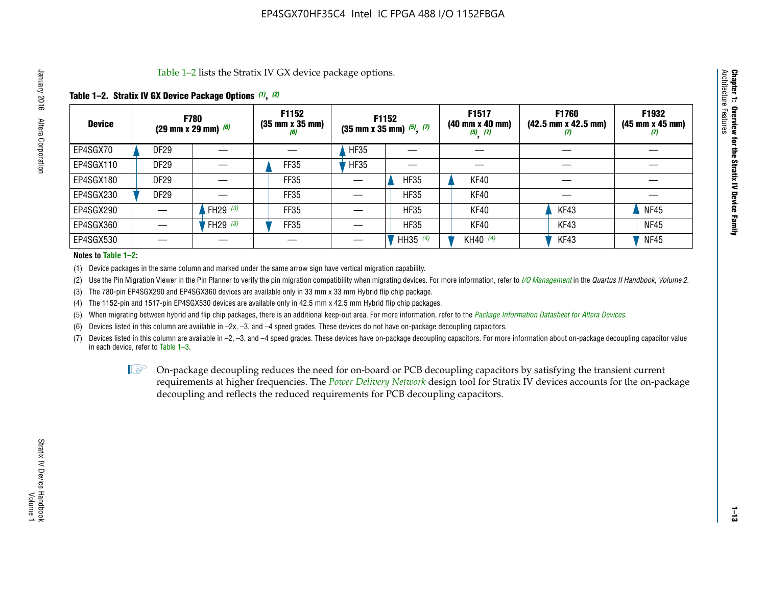Table 1–2 lists the Stratix IV GX device package options.

#### **Table 1–2. Stratix IV GX Device Package Options** *(1)***,** *(2)*

| <b>Device</b> |                  | <b>F780</b><br>(29 mm x 29 mm) $(6)$ | F1152<br>$(35 \, \text{mm} \times 35 \, \text{mm})$<br>(6) |             | <b>F1152</b><br>$(35 \text{ mm} \times 35 \text{ mm})$ $(5)$ , $(7)$ | F1517<br>(40 mm x 40 mm)<br>$(5)$ $(7)$ | <b>F1760</b><br>$(42.5 \text{ mm} \times 42.5 \text{ mm})$<br>Ø | F1932<br>$(45 \, \text{mm} \times 45 \, \text{mm})$<br>(7) |
|---------------|------------------|--------------------------------------|------------------------------------------------------------|-------------|----------------------------------------------------------------------|-----------------------------------------|-----------------------------------------------------------------|------------------------------------------------------------|
| EP4SGX70      | <b>DF29</b>      |                                      |                                                            | <b>HF35</b> |                                                                      |                                         |                                                                 |                                                            |
| EP4SGX110     | <b>DF29</b>      |                                      | FF35                                                       | <b>HF35</b> |                                                                      |                                         |                                                                 |                                                            |
| EP4SGX180     | DF <sub>29</sub> |                                      | FF35                                                       |             | <b>HF35</b>                                                          | KF40                                    |                                                                 |                                                            |
| EP4SGX230     | DF <sub>29</sub> |                                      | FF35                                                       |             | <b>HF35</b>                                                          | KF40                                    |                                                                 |                                                            |
| EP4SGX290     |                  | FH29 $(3)$                           | FF35                                                       |             | <b>HF35</b>                                                          | KF40                                    | KF43                                                            | <b>NF45</b>                                                |
| EP4SGX360     |                  | FH29 (3)                             | FF35                                                       |             | <b>HF35</b>                                                          | KF40                                    | KF43                                                            | <b>NF45</b>                                                |
| EP4SGX530     |                  |                                      |                                                            |             | HH35 (4)                                                             | KH40 (4)                                | KF43                                                            | <b>NF45</b>                                                |

#### **Notes to Table 1–2:**

(1) Device packages in the same column and marked under the same arrow sign have vertical migration capability.

(2) Use the Pin Migration Viewer in the Pin Planner to verify the pin migration compatibility when migrating devices. For more information, refer to *[I/O Management](http://www.altera.com/literature/hb/qts/qts_qii52013.pdf)* in the *Quartus II Handbook, Volume 2*.

(3) The 780-pin EP4SGX290 and EP4SGX360 devices are available only in 33 mm x 33 mm Hybrid flip chip package.

(4) The 1152-pin and 1517-pin EP4SGX530 devices are available only in 42.5 mm x 42.5 mm Hybrid flip chip packages.

(5) When migrating between hybrid and flip chip packages, there is an additional keep-out area. For more information, refer to the *[Package Information Datasheet for Altera Devices](http://www.altera.com/literature/ds/dspkg.pdf)*.

(6) Devices listed in this column are available in –2x, –3, and –4 speed grades. These devices do not have on-package decoupling capacitors.

(7) Devices listed in this column are available in –2, –3, and –4 speed grades. These devices have on-package decoupling capacitors. For more information about on-package decoupling capacitor value in each device, refer to Table 1–3.

 $\mathbb{L}$ s On-package decoupling reduces the need for on-board or PCB decoupling capacitors by satisfying the transient current requirements at higher frequencies. The *[Power Delivery Network](http://www.altera.com/literature/ug/pdn_tool_stxiv.zip)* design tool for Stratix IV devices accounts for the on-package decoupling and reflects the reduced requirements for PCB decoupling capacitors.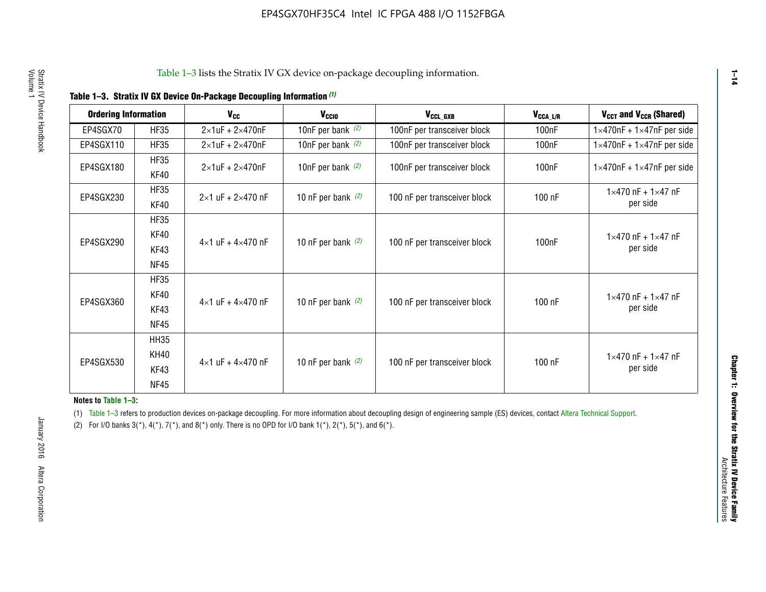|  |  | Table 1-3. Stratix IV GX Device On-Package Decoupling Information (1) |  |  |
|--|--|-----------------------------------------------------------------------|--|--|
|--|--|-----------------------------------------------------------------------|--|--|

| <b>Ordering Information</b> |                            | <b>V<sub>cc</sub></b>               | V <sub>ccio</sub>    | V <sub>CCL GXB</sub>         | V <sub>CCA_L/R</sub> | V <sub>CCT</sub> and V <sub>CCR</sub> (Shared)   |
|-----------------------------|----------------------------|-------------------------------------|----------------------|------------------------------|----------------------|--------------------------------------------------|
| EP4SGX70                    | <b>HF35</b>                | $2\times1$ uF + $2\times470$ nF     | 10nF per bank $(2)$  | 100nF per transceiver block  | 100 <sub>n</sub> F   | $1 \times 470$ nF + $1 \times 47$ nF per side    |
| EP4SGX110                   | <b>HF35</b>                | $2\times1$ uF + $2\times470$ nF     | 10nF per bank $(2)$  | 100nF per transceiver block  | 100 <sub>n</sub> F   | $1\times470$ nF + $1\times47$ nF per side        |
| EP4SGX180                   | <b>HF35</b><br>KF40        | $2\times1$ uF + $2\times470$ nF     | 10nF per bank $(2)$  | 100nF per transceiver block  | 100 <sub>nF</sub>    | $1 \times 470$ nF + $1 \times 47$ nF per side    |
| EP4SGX230                   | <b>HF35</b><br>KF40        | $2 \times 1$ uF + $2 \times 470$ nF | 10 nF per bank $(2)$ | 100 nF per transceiver block | 100 nF               | $1 \times 470$ nF + $1 \times 47$ nF<br>per side |
|                             | <b>HF35</b><br><b>KF40</b> |                                     |                      |                              |                      | $1 \times 470$ nF + $1 \times 47$ nF             |
| EP4SGX290                   | KF43<br><b>NF45</b>        | $4 \times 1$ uF + $4 \times 470$ nF | 10 nF per bank $(2)$ | 100 nF per transceiver block | 100nF                | per side                                         |
|                             | <b>HF35</b><br>KF40        |                                     |                      |                              |                      | $1 \times 470$ nF + $1 \times 47$ nF             |
| EP4SGX360                   | KF43<br><b>NF45</b>        | $4 \times 1$ uF + $4 \times 470$ nF | 10 nF per bank $(2)$ | 100 nF per transceiver block | 100 nF               | per side                                         |
|                             | <b>HH35</b>                |                                     |                      |                              |                      |                                                  |
| EP4SGX530                   | <b>KH40</b><br>KF43        | $4 \times 1$ uF + $4 \times 470$ nF | 10 nF per bank $(2)$ | 100 nF per transceiver block | 100 nF               | $1 \times 470$ nF + $1 \times 47$ nF<br>per side |
|                             | <b>NF45</b>                |                                     |                      |                              |                      |                                                  |

**Notes to Table 1–3:**

(1) Table 1-3 refers to production devices on-package decoupling. For more information about decoupling design of engineering sample (ES) devices, contact [Altera Technical Support](http://mysupport.altera.com/eservice/login.asp).

(2) For I/O banks  $3(*)$ ,  $4(*)$ ,  $7(*)$ , and  $8(*)$  only. There is no OPD for I/O bank  $1(*)$ ,  $2(*)$ ,  $5(*)$ , and  $6(*)$ .

**1–14**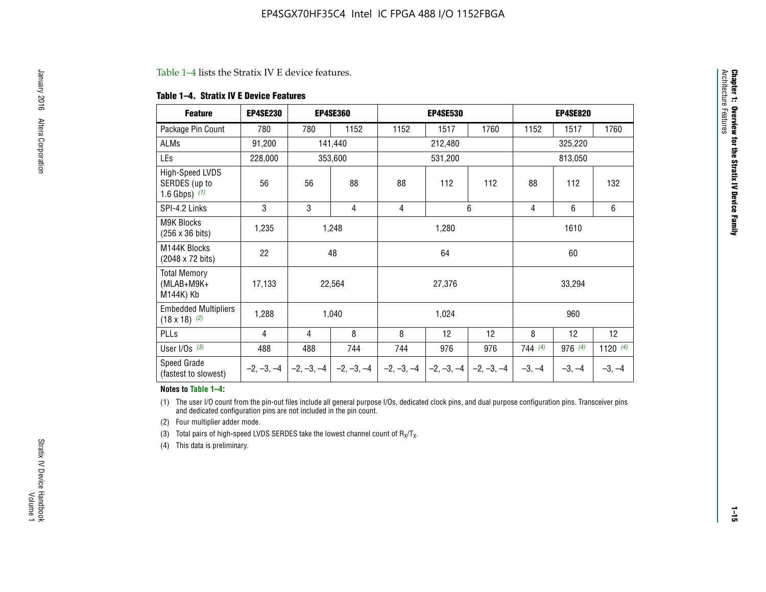#### Table 1–4 lists the Stratix IV E device features.

#### **Table 1–4. Stratix IV E Device Features**

| <b>Feature</b>                                      | <b>EP4SE230</b> |                | <b>EP4SE360</b>                          |              | <b>EP4SE530</b> |              | <b>EP4SE820</b> |          |            |  |
|-----------------------------------------------------|-----------------|----------------|------------------------------------------|--------------|-----------------|--------------|-----------------|----------|------------|--|
| Package Pin Count                                   | 780             | 780            | 1152                                     | 1152         | 1517            | 1760         | 1152            | 1517     | 1760       |  |
| ALMs                                                | 91,200          |                | 141,440                                  |              | 212,480         |              |                 | 325,220  |            |  |
| LEs                                                 | 228,000         |                | 353,600                                  |              | 531,200         |              |                 | 813,050  |            |  |
| High-Speed LVDS<br>SERDES (up to<br>1.6 Gbps) $(1)$ | 56              | 56             | 88                                       | 88           | 112             | 112          | 88              | 112      | 132        |  |
| SPI-4.2 Links                                       | 3               | 3              | 4                                        | 4            |                 | 6            | 4               | 6        | 6          |  |
| <b>M9K Blocks</b><br>(256 x 36 bits)                | 1,235           | 1,248<br>1,280 |                                          |              |                 | 1610         |                 |          |            |  |
| M144K Blocks<br>(2048 x 72 bits)                    | 22              |                | 48                                       | 64<br>60     |                 |              |                 |          |            |  |
| <b>Total Memory</b><br>$(MLAB+M9K+$<br>M144K) Kb    | 17,133          |                | 22,564                                   |              | 27,376          |              |                 | 33,294   |            |  |
| <b>Embedded Multipliers</b><br>$(18 \times 18)$ (2) | 1,288           |                | 1,040                                    |              | 1,024           |              |                 | 960      |            |  |
| PLLs                                                | 4               | 4              | 8                                        | 8            | 12              | 12           | 8               | 12       | 12         |  |
| User I/Os $(3)$                                     | 488             | 488            | 744                                      | 744          | 976             | 976          | 744(4)          | 976 (4)  | 1120 $(4)$ |  |
| Speed Grade<br>(fastest to slowest)                 |                 |                | $-2, -3, -4$ $ -2, -3, -4$ $ -2, -3, -4$ | $-2, -3, -4$ | $-2, -3, -4$    | $-2, -3, -4$ | $-3, -4$        | $-3, -4$ | $-3, -4$   |  |

#### **Notes to Table 1–4:**

(1) The user I/O count from the pin-out files include all general purpose I/Os, dedicated clock pins, and dual purpose configuration pins. Transceiver pins and dedicated configuration pins are not included in the pin count.

(2) Four multiplier adder mode.

(3) Total pairs of high-speed LVDS SERDES take the lowest channel count of  $R_X/T_X$ .

(4) This data is preliminary.

**Chapter 1: Overview for the Stratix IV Device Family**

**Chapter 1: Overview for the Stratix IV Device Family**<br>Architecture Faatures

Architecture Features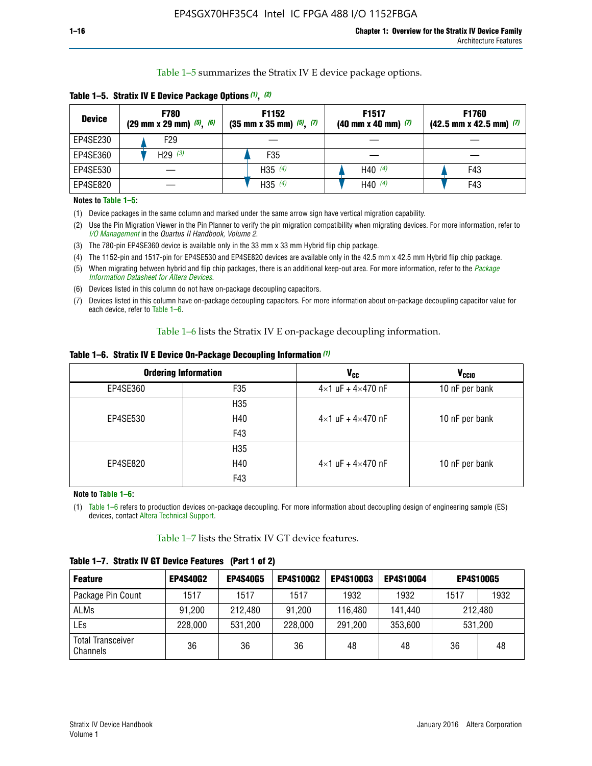Table 1–5 summarizes the Stratix IV E device package options.

| <b>Device</b> | <b>F780</b><br>$(29 \text{ mm} \times 29 \text{ mm})$ $(5)$ , $(6)$ | F1152<br>$(35 \text{ mm} \times 35 \text{ mm})$ $(5)$ , $(7)$ | F <sub>1517</sub><br>$(40 \text{ mm} \times 40 \text{ mm})$ (7) | <b>F1760</b><br>$(42.5$ mm x 42.5 mm) $(7)$ |
|---------------|---------------------------------------------------------------------|---------------------------------------------------------------|-----------------------------------------------------------------|---------------------------------------------|
| EP4SE230      | F29                                                                 |                                                               |                                                                 |                                             |
| EP4SE360      | H <sub>29</sub> $(3)$                                               | F35                                                           |                                                                 |                                             |
| EP4SE530      |                                                                     | H35 $(4)$                                                     | H40 $(4)$                                                       | F43                                         |
| EP4SE820      |                                                                     | H35 $(4)$                                                     | H40 $(4)$                                                       | F43                                         |

**Table 1–5. Stratix IV E Device Package Options** *(1)***,** *(2)*

#### **Notes to Table 1–5:**

(1) Device packages in the same column and marked under the same arrow sign have vertical migration capability.

(2) Use the Pin Migration Viewer in the Pin Planner to verify the pin migration compatibility when migrating devices. For more information, refer to *[I/O Management](http://www.altera.com/literature/hb/qts/qts_qii52013.pdf)* in the *Quartus II Handbook, Volume 2*.

(3) The 780-pin EP4SE360 device is available only in the 33 mm x 33 mm Hybrid flip chip package.

(4) The 1152-pin and 1517-pin for EP4SE530 and EP4SE820 devices are available only in the 42.5 mm x 42.5 mm Hybrid flip chip package.

(5) When migrating between hybrid and flip chip packages, there is an additional keep-out area. For more information, refer to the *[Package](http://www.altera.com/literature/ds/dspkg.pdf)  [Information Datasheet for Altera Devices](http://www.altera.com/literature/ds/dspkg.pdf)*.

(6) Devices listed in this column do not have on-package decoupling capacitors.

(7) Devices listed in this column have on-package decoupling capacitors. For more information about on-package decoupling capacitor value for each device, refer to Table 1–6.

Table 1–6 lists the Stratix IV E on-package decoupling information.

| Table 1–6. Stratix IV E Device On-Package Decoupling Information (1) |  |  |  |  |  |
|----------------------------------------------------------------------|--|--|--|--|--|
|----------------------------------------------------------------------|--|--|--|--|--|

|          | <b>Ordering Information</b> | <b>V<sub>cc</sub></b>               | <b>V<sub>CCIO</sub></b> |
|----------|-----------------------------|-------------------------------------|-------------------------|
| EP4SE360 | F35                         | $4 \times 1$ uF + $4 \times 470$ nF | 10 nF per bank          |
|          | H <sub>35</sub>             |                                     |                         |
| EP4SE530 | H40                         | $4 \times 1$ uF + $4 \times 470$ nF | 10 nF per bank          |
|          | F43                         |                                     |                         |
|          | H <sub>35</sub>             |                                     |                         |
| EP4SE820 | H40                         | $4 \times 1$ uF + $4 \times 470$ nF | 10 nF per bank          |
|          | F43                         |                                     |                         |

**Note to Table 1–6:**

(1) Table 1–6 refers to production devices on-package decoupling. For more information about decoupling design of engineering sample (ES) devices, contact [Altera Technical Support](http://mysupport.altera.com/eservice/login.asp).

Table 1–7 lists the Stratix IV GT device features.

| <b>Feature</b>                       | <b>EP4S40G2</b> | <b>EP4S40G5</b> | <b>EP4S100G2</b> | <b>EP4S100G3</b> | <b>EP4S100G4</b> | <b>EP4S100G5</b> |         |
|--------------------------------------|-----------------|-----------------|------------------|------------------|------------------|------------------|---------|
| Package Pin Count                    | 1517            | 1517            | 1517             | 1932             | 1932             | 1517             | 1932    |
| <b>ALMs</b>                          | 91,200          | 212,480         | 91,200           | 116,480          | 141,440          |                  | 212.480 |
| LEs                                  | 228,000         | 531,200         | 228,000          | 291,200          | 353,600          | 531,200          |         |
| <b>Total Transceiver</b><br>Channels | 36              | 36              | 36               | 48               | 48               | 36               | 48      |

**Table 1–7. Stratix IV GT Device Features (Part 1 of 2)**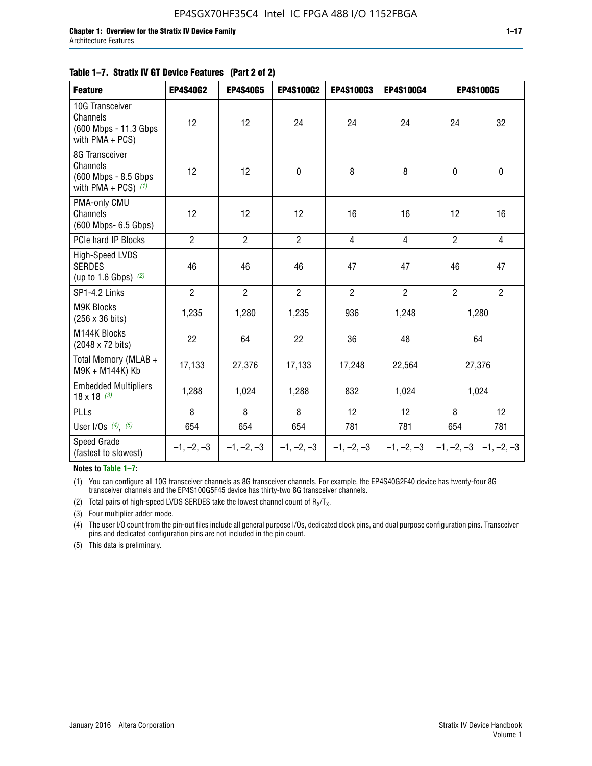|  | Table 1–7. Stratix IV GT Device Features (Part 2 of 2) |  |
|--|--------------------------------------------------------|--|
|--|--------------------------------------------------------|--|

| <b>Feature</b>                                                              | <b>EP4S40G2</b> | <b>EP4S40G5</b> | <b>EP4S100G2</b> | <b>EP4S100G3</b> | <b>EP4S100G4</b> |                           | <b>EP4S100G5</b> |
|-----------------------------------------------------------------------------|-----------------|-----------------|------------------|------------------|------------------|---------------------------|------------------|
| 10G Transceiver<br>Channels<br>(600 Mbps - 11.3 Gbps)<br>with $PMA + PCS$ ) | 12              | 12              | 24               | 24               | 24               | 24                        | 32               |
| 8G Transceiver<br>Channels<br>(600 Mbps - 8.5 Gbps<br>with PMA + PCS) $(1)$ | 12              | 12              | $\pmb{0}$        | 8                | 8                | $\mathbf 0$               | 0                |
| PMA-only CMU<br>Channels<br>(600 Mbps- 6.5 Gbps)                            | 12              | 12              | 12               | 16               | 16               | 12                        | 16               |
| PCIe hard IP Blocks                                                         | $\overline{2}$  | $\overline{2}$  | $\overline{2}$   | $\overline{4}$   | $\overline{4}$   | $\overline{2}$            | $\overline{4}$   |
| <b>High-Speed LVDS</b><br><b>SERDES</b><br>(up to 1.6 Gbps) $(2)$           | 46              | 46              | 46               | 47               | 47               | 46                        | 47               |
| SP1-4.2 Links                                                               | $\overline{2}$  | $\overline{2}$  | $\overline{2}$   | $\overline{2}$   | $\overline{2}$   | $\overline{2}$            | $2^{\circ}$      |
| <b>M9K Blocks</b><br>(256 x 36 bits)                                        | 1,235           | 1,280           | 1,235            | 936              | 1,248            |                           | 1,280            |
| M144K Blocks<br>(2048 x 72 bits)                                            | 22              | 64              | 22               | 36               | 48               |                           | 64               |
| Total Memory (MLAB +<br>M9K + M144K) Kb                                     | 17,133          | 27,376          | 17,133           | 17,248           | 22,564           |                           | 27,376           |
| <b>Embedded Multipliers</b><br>$18 \times 18^{(3)}$                         | 1,288           | 1,024           | 1,288            | 832              | 1,024            |                           | 1,024            |
| PLLs                                                                        | 8               | 8               | 8                | 12               | 12               | 8                         | 12               |
| User I/Os $(4)$ , $(5)$                                                     | 654             | 654             | 654              | 781              | 781              | 654                       | 781              |
| Speed Grade<br>(fastest to slowest)                                         | $-1, -2, -3$    | $-1, -2, -3$    | $-1, -2, -3$     | $-1, -2, -3$     | $-1, -2, -3$     | $-1, -2, -3$ $-1, -2, -3$ |                  |

**Notes to Table 1–7:**

(1) You can configure all 10G transceiver channels as 8G transceiver channels. For example, the EP4S40G2F40 device has twenty-four 8G transceiver channels and the EP4S100G5F45 device has thirty-two 8G transceiver channels.

(2) Total pairs of high-speed LVDS SERDES take the lowest channel count of  $R_X/T_X$ .

(3) Four multiplier adder mode.

(4) The user I/O count from the pin-out files include all general purpose I/Os, dedicated clock pins, and dual purpose configuration pins. Transceiver pins and dedicated configuration pins are not included in the pin count.

(5) This data is preliminary.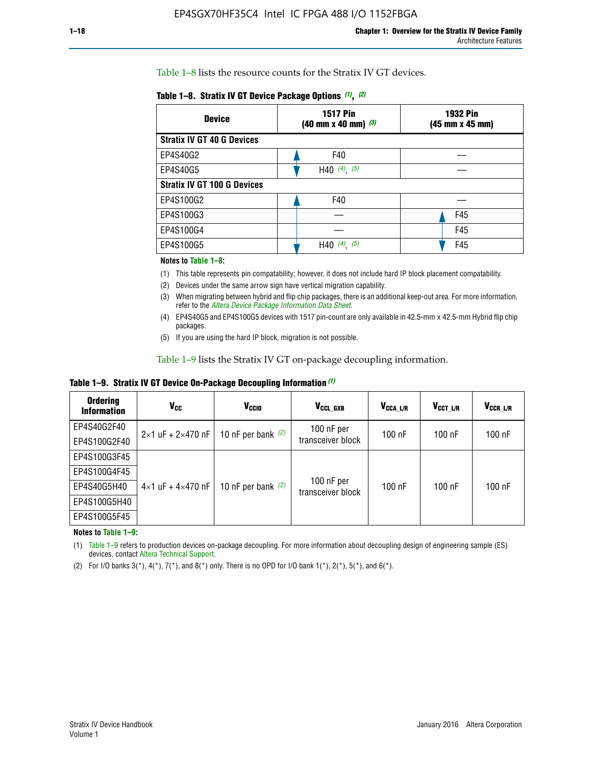Table 1–8 lists the resource counts for the Stratix IV GT devices.

| <b>Device</b>                      | <b>1517 Pin</b><br>$(40 \text{ mm} \times 40 \text{ mm})$ $(3)$ | <b>1932 Pin</b><br>(45 mm x 45 mm) |  |
|------------------------------------|-----------------------------------------------------------------|------------------------------------|--|
| <b>Stratix IV GT 40 G Devices</b>  |                                                                 |                                    |  |
| EP4S40G2                           | F40                                                             |                                    |  |
| EP4S40G5                           | H40 $(4)$ , $(5)$                                               |                                    |  |
| <b>Stratix IV GT 100 G Devices</b> |                                                                 |                                    |  |
| EP4S100G2                          | F40                                                             |                                    |  |
| EP4S100G3                          |                                                                 | F45                                |  |
| EP4S100G4                          |                                                                 | F45                                |  |
| EP4S100G5                          | $(4)$ $(5)$<br>H40                                              | F45                                |  |

#### **Notes to Table 1–8:**

(1) This table represents pin compatability; however, it does not include hard IP block placement compatability.

- (2) Devices under the same arrow sign have vertical migration capability.
- (3) When migrating between hybrid and flip chip packages, there is an additional keep-out area. For more information, refer to the *[Altera Device Package Information Data Sheet](http://www.altera.com/literature/ds/dspkg.pdf)*.
- (4) EP4S40G5 and EP4S100G5 devices with 1517 pin-count are only available in 42.5-mm x 42.5-mm Hybrid flip chip packages.
- (5) If you are using the hard IP block, migration is not possible.

Table 1–9 lists the Stratix IV GT on-package decoupling information.

**Table 1–9. Stratix IV GT Device On-Package Decoupling Information** *(1)*

| <b>Ordering</b><br><b>Information</b> | Vcc                                 | <b>V<sub>CCIO</sub></b> | V <sub>CCL GXB</sub>            | V <sub>CCA_L/R</sub> | V <sub>CCT L/R</sub> | $V_{CCR\_L/R}$ |
|---------------------------------------|-------------------------------------|-------------------------|---------------------------------|----------------------|----------------------|----------------|
| EP4S40G2F40                           | $2 \times 1$ uF + $2 \times 470$ nF | 10 nF per bank $(2)$    | 100 nF per<br>transceiver block | $100$ nF             | 100 nF               | $100$ nF       |
| EP4S100G2F40                          |                                     |                         |                                 |                      |                      |                |
| EP4S100G3F45                          |                                     | 10 nF per bank $(2)$    | 100 nF per<br>transceiver block | $100$ nF             | $100$ nF             | $100$ nF       |
| EP4S100G4F45                          |                                     |                         |                                 |                      |                      |                |
| EP4S40G5H40                           | $4 \times 1$ uF + $4 \times 470$ nF |                         |                                 |                      |                      |                |
| EP4S100G5H40                          |                                     |                         |                                 |                      |                      |                |
| EP4S100G5F45                          |                                     |                         |                                 |                      |                      |                |

**Notes to Table 1–9:**

(1) Table 1–9 refers to production devices on-package decoupling. For more information about decoupling design of engineering sample (ES) devices, contact [Altera Technical Support](http://mysupport.altera.com/eservice/login.asp).

(2) For I/O banks 3(\*),  $4(*)$ ,  $7(*)$ , and  $8(*)$  only. There is no OPD for I/O bank  $1(*)$ ,  $2(*)$ ,  $5(*)$ , and  $6(*)$ .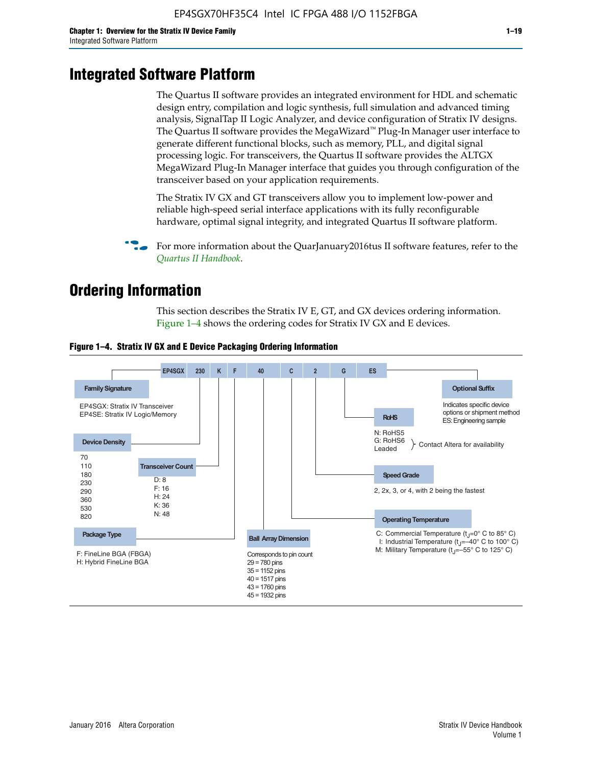# **Integrated Software Platform**

The Quartus II software provides an integrated environment for HDL and schematic design entry, compilation and logic synthesis, full simulation and advanced timing analysis, SignalTap II Logic Analyzer, and device configuration of Stratix IV designs. The Quartus II software provides the MegaWizard<sup> $M$ </sup> Plug-In Manager user interface to generate different functional blocks, such as memory, PLL, and digital signal processing logic. For transceivers, the Quartus II software provides the ALTGX MegaWizard Plug-In Manager interface that guides you through configuration of the transceiver based on your application requirements.

The Stratix IV GX and GT transceivers allow you to implement low-power and reliable high-speed serial interface applications with its fully reconfigurable hardware, optimal signal integrity, and integrated Quartus II software platform.

For more information about the QuarJanuary2016tus II software features, refer to the *[Quartus II Handbook](http://www.altera.com/literature/lit-qts.jsp)*.

# **Ordering Information**

This section describes the Stratix IV E, GT, and GX devices ordering information. Figure 1–4 shows the ordering codes for Stratix IV GX and E devices.



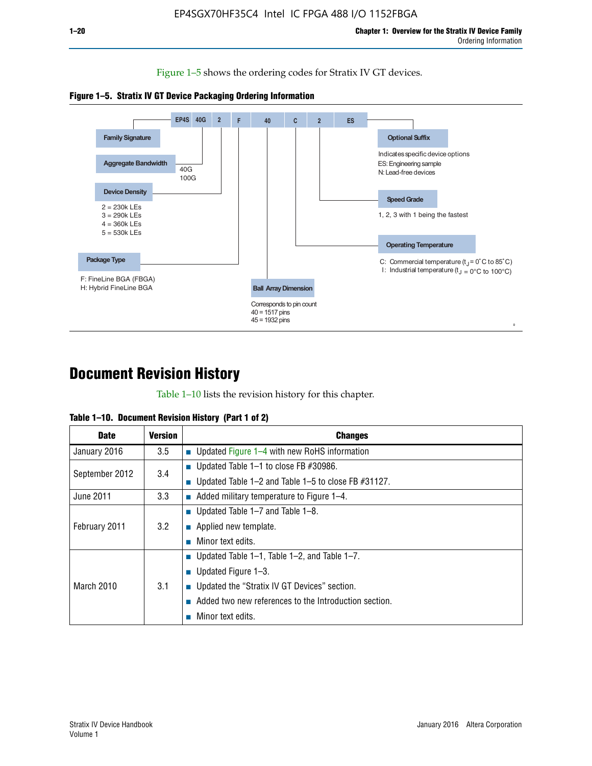Figure 1–5 shows the ordering codes for Stratix IV GT devices.





# **Document Revision History**

Table 1–10 lists the revision history for this chapter.

| Table 1–10. Document Revision History (Part 1 of 2) |  |  |  |  |  |
|-----------------------------------------------------|--|--|--|--|--|
|-----------------------------------------------------|--|--|--|--|--|

| <b>Date</b>       | Version | <b>Changes</b>                                         |
|-------------------|---------|--------------------------------------------------------|
| January 2016      | 3.5     | <b>Updated Figure 1–4 with new RoHS information</b>    |
| September 2012    | 3.4     | ■ Updated Table 1–1 to close FB $#30986$ .             |
|                   |         | Updated Table 1–2 and Table 1–5 to close FB $#31127$ . |
| June 2011         | 3.3     | Added military temperature to Figure 1–4.              |
| February 2011     | 3.2     | ■ Updated Table 1–7 and Table 1–8.                     |
|                   |         | $\blacksquare$ Applied new template.                   |
|                   |         | Minor text edits.                                      |
| <b>March 2010</b> |         | <b>Updated Table 1–1, Table 1–2, and Table 1–7.</b>    |
|                   | 3.1     | ■ Updated Figure $1-3$ .                               |
|                   |         | ■ Updated the "Stratix IV GT Devices" section.         |
|                   |         | Added two new references to the Introduction section.  |
|                   |         | Minor text edits.                                      |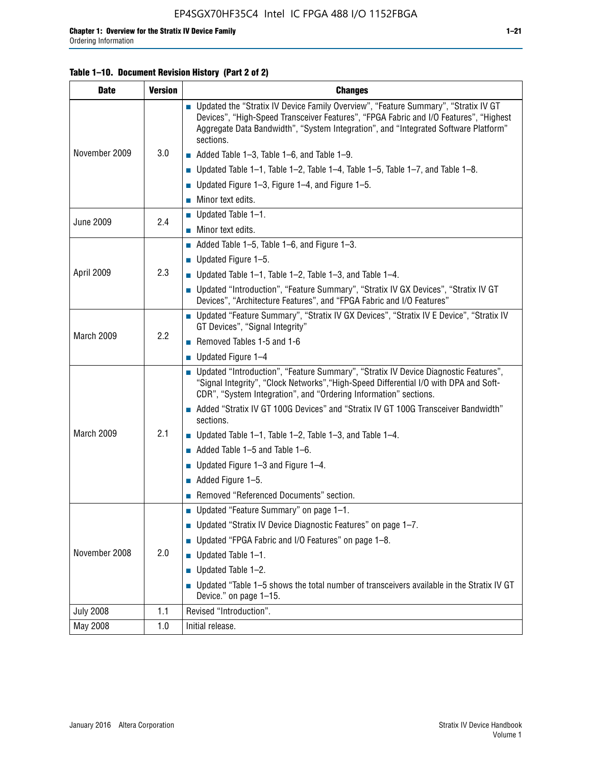#### **Table 1–10. Document Revision History (Part 2 of 2)**

| <b>Date</b>      | <b>Version</b> | <b>Changes</b>                                                                                                                                                                                                                                                                    |  |  |
|------------------|----------------|-----------------------------------------------------------------------------------------------------------------------------------------------------------------------------------------------------------------------------------------------------------------------------------|--|--|
|                  |                | ■ Updated the "Stratix IV Device Family Overview", "Feature Summary", "Stratix IV GT<br>Devices", "High-Speed Transceiver Features", "FPGA Fabric and I/O Features", "Highest<br>Aggregate Data Bandwidth", "System Integration", and "Integrated Software Platform"<br>sections. |  |  |
| November 2009    | 3.0            | $\blacksquare$ Added Table 1-3, Table 1-6, and Table 1-9.                                                                                                                                                                                                                         |  |  |
|                  |                | $\blacksquare$ Updated Table 1-1, Table 1-2, Table 1-4, Table 1-5, Table 1-7, and Table 1-8.                                                                                                                                                                                      |  |  |
|                  |                | ■ Updated Figure 1–3, Figure 1–4, and Figure 1–5.                                                                                                                                                                                                                                 |  |  |
|                  |                | $\blacksquare$ Minor text edits.                                                                                                                                                                                                                                                  |  |  |
| <b>June 2009</b> | 2.4            | $\blacksquare$ Updated Table 1-1.                                                                                                                                                                                                                                                 |  |  |
|                  |                | Minor text edits.                                                                                                                                                                                                                                                                 |  |  |
|                  |                | $\blacksquare$ Added Table 1–5, Table 1–6, and Figure 1–3.                                                                                                                                                                                                                        |  |  |
|                  |                | $\blacksquare$ Updated Figure 1-5.                                                                                                                                                                                                                                                |  |  |
| April 2009       | 2.3            | Updated Table $1-1$ , Table $1-2$ , Table $1-3$ , and Table $1-4$ .                                                                                                                                                                                                               |  |  |
|                  |                | ■ Updated "Introduction", "Feature Summary", "Stratix IV GX Devices", "Stratix IV GT<br>Devices", "Architecture Features", and "FPGA Fabric and I/O Features"                                                                                                                     |  |  |
|                  | 2.2            | ■ Updated "Feature Summary", "Stratix IV GX Devices", "Stratix IV E Device", "Stratix IV<br>GT Devices", "Signal Integrity"                                                                                                                                                       |  |  |
| March 2009       |                | Removed Tables 1-5 and 1-6                                                                                                                                                                                                                                                        |  |  |
|                  |                | Updated Figure 1-4                                                                                                                                                                                                                                                                |  |  |
|                  |                | ■ Updated "Introduction", "Feature Summary", "Stratix IV Device Diagnostic Features",<br>"Signal Integrity", "Clock Networks", "High-Speed Differential I/O with DPA and Soft-<br>CDR", "System Integration", and "Ordering Information" sections.                                |  |  |
|                  |                | Added "Stratix IV GT 100G Devices" and "Stratix IV GT 100G Transceiver Bandwidth"<br>sections.                                                                                                                                                                                    |  |  |
| March 2009       | 2.1            | <b>Updated Table 1–1, Table 1–2, Table 1–3, and Table 1–4.</b>                                                                                                                                                                                                                    |  |  |
|                  |                | $\blacksquare$ Added Table 1-5 and Table 1-6.                                                                                                                                                                                                                                     |  |  |
|                  |                | ■ Updated Figure $1-3$ and Figure $1-4$ .                                                                                                                                                                                                                                         |  |  |
|                  |                | $\blacksquare$ Added Figure 1-5.                                                                                                                                                                                                                                                  |  |  |
|                  |                | Removed "Referenced Documents" section.                                                                                                                                                                                                                                           |  |  |
|                  | 2.0            | Updated "Feature Summary" on page 1-1.                                                                                                                                                                                                                                            |  |  |
|                  |                | ■ Updated "Stratix IV Device Diagnostic Features" on page 1-7.                                                                                                                                                                                                                    |  |  |
| November 2008    |                | Updated "FPGA Fabric and I/O Features" on page 1-8.                                                                                                                                                                                                                               |  |  |
|                  |                | $\blacksquare$ Updated Table 1-1.                                                                                                                                                                                                                                                 |  |  |
|                  |                | Updated Table 1-2.                                                                                                                                                                                                                                                                |  |  |
|                  |                | Updated "Table 1-5 shows the total number of transceivers available in the Stratix IV GT<br>Device." on page 1-15.                                                                                                                                                                |  |  |
| <b>July 2008</b> | 1.1            | Revised "Introduction".                                                                                                                                                                                                                                                           |  |  |
| May 2008         | 1.0            | Initial release.                                                                                                                                                                                                                                                                  |  |  |